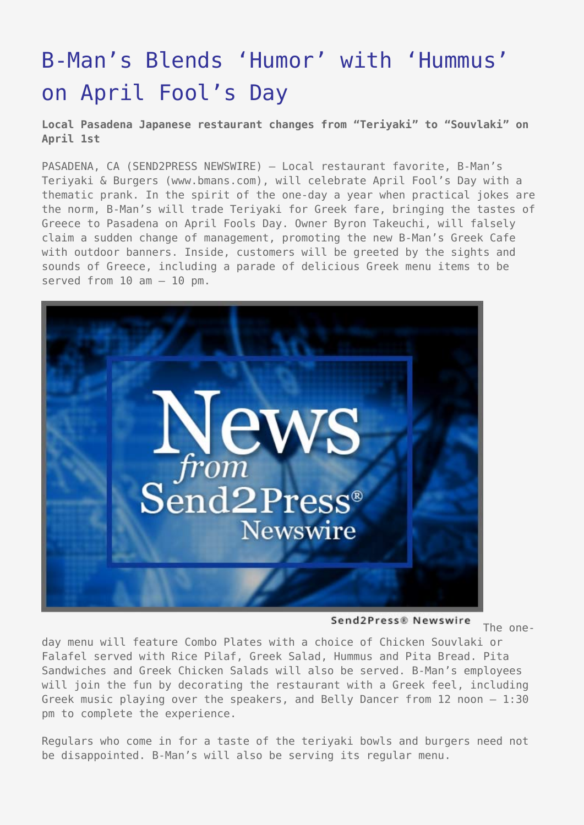## [B-Man's Blends 'Humor' with 'Hummus'](https://www.send2press.com/wire/2006-03-0329-005/) [on April Fool's Day](https://www.send2press.com/wire/2006-03-0329-005/)

**Local Pasadena Japanese restaurant changes from "Teriyaki" to "Souvlaki" on April 1st**

PASADENA, CA (SEND2PRESS NEWSWIRE) — Local restaurant favorite, B-Man's Teriyaki & Burgers (www.bmans.com), will celebrate April Fool's Day with a thematic prank. In the spirit of the one-day a year when practical jokes are the norm, B-Man's will trade Teriyaki for Greek fare, bringing the tastes of Greece to Pasadena on April Fools Day. Owner Byron Takeuchi, will falsely claim a sudden change of management, promoting the new B-Man's Greek Cafe with outdoor banners. Inside, customers will be greeted by the sights and sounds of Greece, including a parade of delicious Greek menu items to be served from  $10$  am  $10$  pm.



Send2Press® Newswire

The one-

day menu will feature Combo Plates with a choice of Chicken Souvlaki or Falafel served with Rice Pilaf, Greek Salad, Hummus and Pita Bread. Pita Sandwiches and Greek Chicken Salads will also be served. B-Man's employees will join the fun by decorating the restaurant with a Greek feel, including Greek music playing over the speakers, and Belly Dancer from 12 noon – 1:30 pm to complete the experience.

Regulars who come in for a taste of the teriyaki bowls and burgers need not be disappointed. B-Man's will also be serving its regular menu.